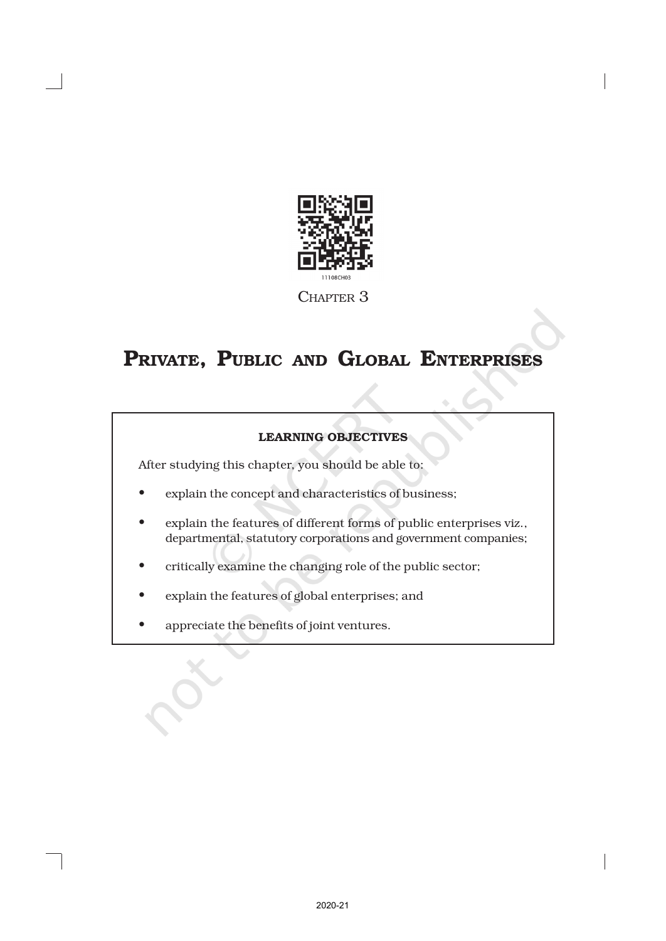

# LEARNING OBJECTIVES

After studying this chapter, you should be able to:

- explain the concept and characteristics of business;
- explain the features of different forms of public enterprises viz., departmental, statutory corporations and government companies;
- critically examine the changing role of the public sector;
- explain the features of global enterprises; and
- appreciate the benefits of joint ventures.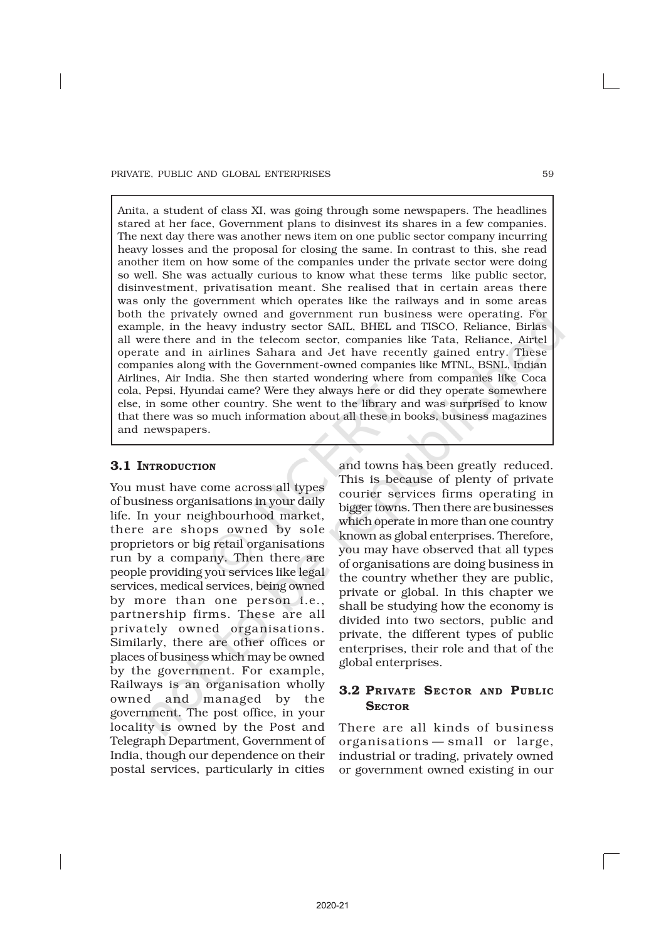Anita, a student of class XI, was going through some newspapers. The headlines stared at her face, Government plans to disinvest its shares in a few companies. The next day there was another news item on one public sector company incurring heavy losses and the proposal for closing the same. In contrast to this, she read another item on how some of the companies under the private sector were doing so well. She was actually curious to know what these terms like public sector, disinvestment, privatisation meant. She realised that in certain areas there was only the government which operates like the railways and in some areas both the privately owned and government run business were operating. For example, in the heavy industry sector SAIL, BHEL and TISCO, Reliance, Birlas all were there and in the telecom sector, companies like Tata, Reliance, Airtel operate and in airlines Sahara and Jet have recently gained entry. These companies along with the Government-owned companies like MTNL, BSNL, Indian Airlines, Air India. She then started wondering where from companies like Coca cola, Pepsi, Hyundai came? Were they always here or did they operate somewhere else, in some other country. She went to the library and was surprised to know that there was so much information about all these in books, business magazines and newspapers.

# 3.1 INTRODUCTION

You must have come across all types of business organisations in your daily life. In your neighbourhood market, there are shops owned by sole proprietors or big retail organisations run by a company. Then there are people providing you services like legal services, medical services, being owned by more than one person i.e., partnership firms. These are all privately owned organisations. Similarly, there are other offices or places of business which may be owned by the government. For example, Railways is an organisation wholly owned and managed by the government. The post office, in your locality is owned by the Post and Telegraph Department, Government of India, though our dependence on their postal services, particularly in cities

and towns has been greatly reduced. This is because of plenty of private courier services firms operating in bigger towns. Then there are businesses which operate in more than one country known as global enterprises. Therefore, you may have observed that all types of organisations are doing business in the country whether they are public, private or global. In this chapter we shall be studying how the economy is divided into two sectors, public and private, the different types of public enterprises, their role and that of the global enterprises.

# 3.2 PRIVATE SECTOR AND PUBLIC **SECTOR**

There are all kinds of business organisations — small or large, industrial or trading, privately owned or government owned existing in our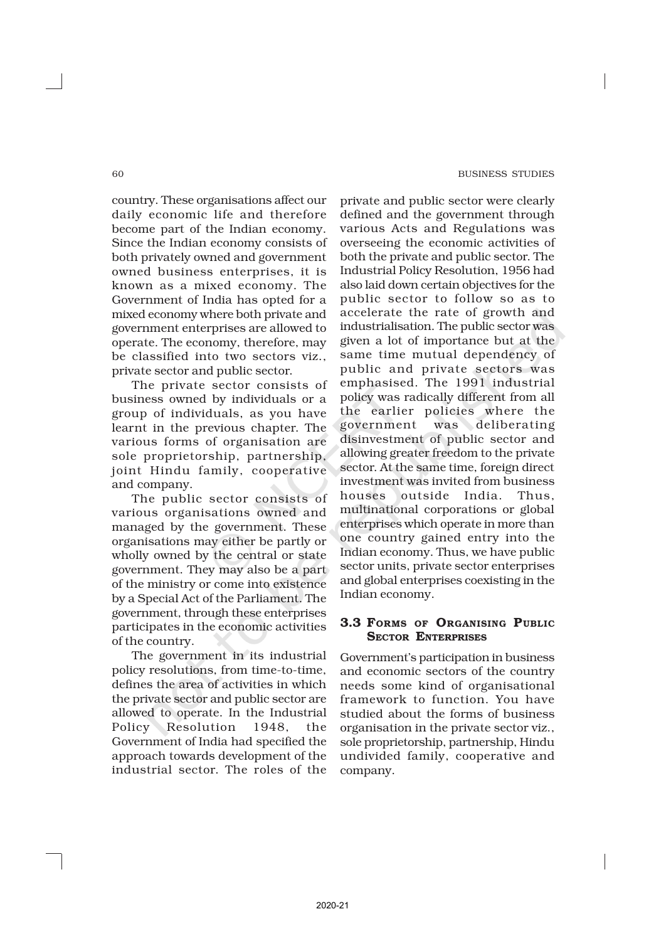country. These organisations affect our daily economic life and therefore become part of the Indian economy. Since the Indian economy consists of both privately owned and government owned business enterprises, it is known as a mixed economy. The Government of India has opted for a mixed economy where both private and government enterprises are allowed to operate. The economy, therefore, may be classified into two sectors viz., private sector and public sector.

The private sector consists of business owned by individuals or a group of individuals, as you have learnt in the previous chapter. The various forms of organisation are sole proprietorship, partnership, joint Hindu family, cooperative and company.

The public sector consists of various organisations owned and managed by the government. These organisations may either be partly or wholly owned by the central or state government. They may also be a part of the ministry or come into existence by a Special Act of the Parliament. The government, through these enterprises participates in the economic activities of the country.

The government in its industrial policy resolutions, from time-to-time, defines the area of activities in which the private sector and public sector are allowed to operate. In the Industrial Policy Resolution 1948, the Government of India had specified the approach towards development of the industrial sector. The roles of the private and public sector were clearly defined and the government through various Acts and Regulations was overseeing the economic activities of both the private and public sector. The Industrial Policy Resolution, 1956 had also laid down certain objectives for the public sector to follow so as to accelerate the rate of growth and industrialisation. The public sector was given a lot of importance but at the same time mutual dependency of public and private sectors was emphasised. The 1991 industrial policy was radically different from all the earlier policies where the government was deliberating disinvestment of public sector and allowing greater freedom to the private sector. At the same time, foreign direct investment was invited from business houses outside India. Thus, multinational corporations or global enterprises which operate in more than one country gained entry into the Indian economy. Thus, we have public sector units, private sector enterprises and global enterprises coexisting in the Indian economy.

#### 3.3 FORMS OF ORGANISING PUBLIC SECTOR ENTERPRISES

Government's participation in business and economic sectors of the country needs some kind of organisational framework to function. You have studied about the forms of business organisation in the private sector viz., sole proprietorship, partnership, Hindu undivided family, cooperative and company.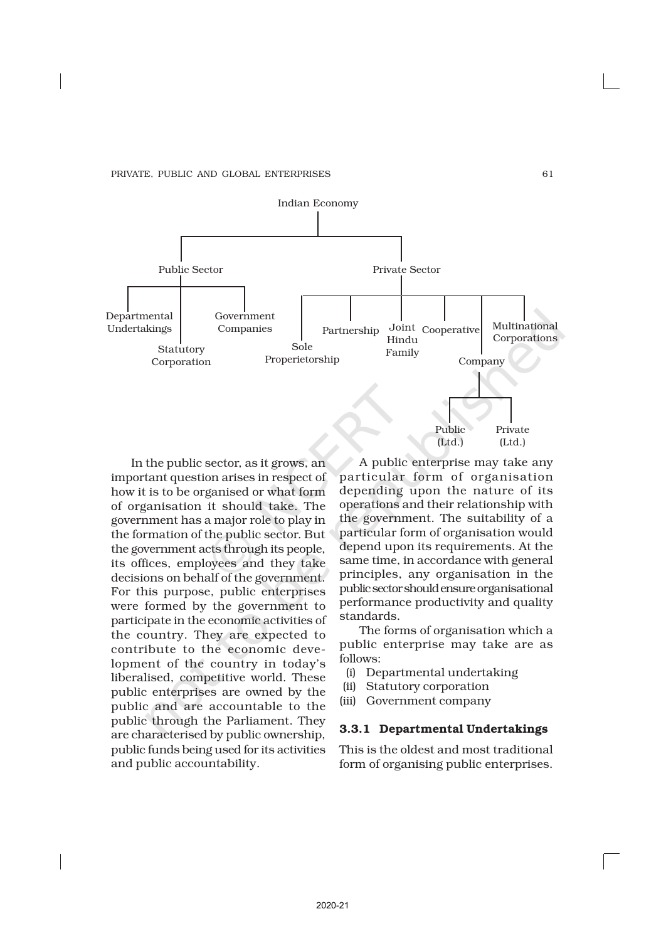

In the public sector, as it grows, an important question arises in respect of how it is to be organised or what form of organisation it should take. The government has a major role to play in the formation of the public sector. But the government acts through its people, its offices, employees and they take decisions on behalf of the government. For this purpose, public enterprises were formed by the government to participate in the economic activities of the country. They are expected to contribute to the economic development of the country in today's liberalised, competitive world. These public enterprises are owned by the public and are accountable to the public through the Parliament. They are characterised by public ownership, public funds being used for its activities and public accountability.

A public enterprise may take any particular form of organisation depending upon the nature of its operations and their relationship with the government. The suitability of a particular form of organisation would depend upon its requirements. At the same time, in accordance with general principles, any organisation in the public sector should ensure organisational performance productivity and quality standards.

The forms of organisation which a public enterprise may take are as follows:

- (i) Departmental undertaking
- (ii) Statutory corporation
- (iii) Government company

#### 3.3.1 Departmental Undertakings

This is the oldest and most traditional form of organising public enterprises.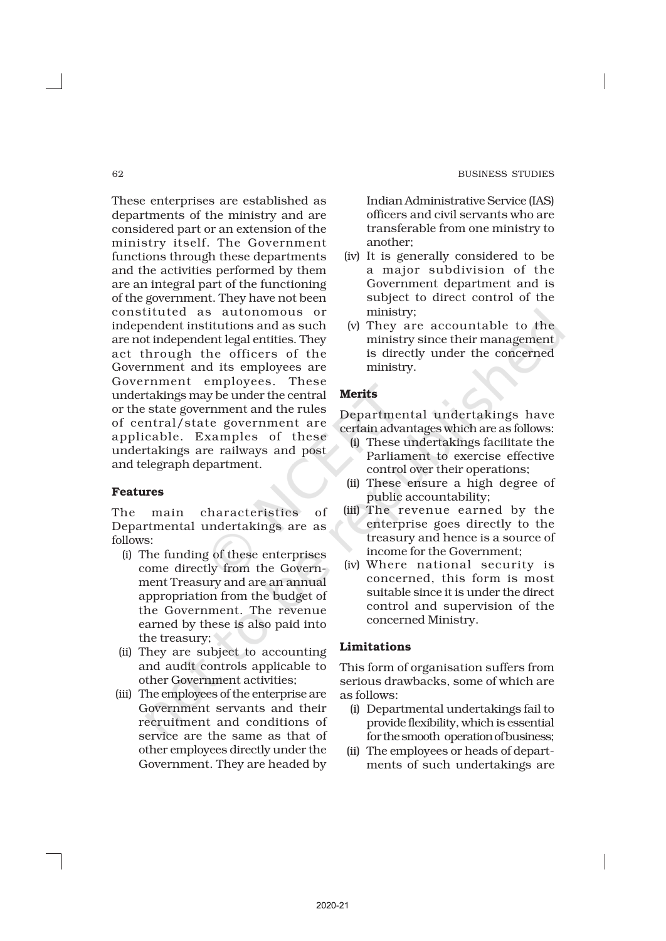These enterprises are established as departments of the ministry and are considered part or an extension of the ministry itself. The Government functions through these departments and the activities performed by them are an integral part of the functioning of the government. They have not been constituted as autonomous or independent institutions and as such are not independent legal entities. They act through the officers of the Government and its employees are Government employees. These undertakings may be under the central or the state government and the rules of central/state government are applicable. Examples of these undertakings are railways and post and telegraph department.

#### Features

The main characteristics of Departmental undertakings are as follows:

- (i) The funding of these enterprises come directly from the Government Treasury and are an annual appropriation from the budget of the Government. The revenue earned by these is also paid into the treasury;
- (ii) They are subject to accounting and audit controls applicable to other Government activities;
- (iii) The employees of the enterprise are Government servants and their recruitment and conditions of service are the same as that of other employees directly under the Government. They are headed by

Indian Administrative Service (IAS) officers and civil servants who are transferable from one ministry to another;

- (iv) It is generally considered to be a major subdivision of the Government department and is subject to direct control of the ministry;
- (v) They are accountable to the ministry since their management is directly under the concerned ministry.

#### Merits

Departmental undertakings have certain advantages which are as follows:

- (i) These undertakings facilitate the Parliament to exercise effective control over their operations;
- (ii) These ensure a high degree of public accountability;
- (iii) The revenue earned by the enterprise goes directly to the treasury and hence is a source of income for the Government;
- (iv) Where national security is concerned, this form is most suitable since it is under the direct control and supervision of the concerned Ministry.

#### Limitations

This form of organisation suffers from serious drawbacks, some of which are as follows:

- (i) Departmental undertakings fail to provide flexibility, which is essential for the smooth operation of business;
- (ii) The employees or heads of departments of such undertakings are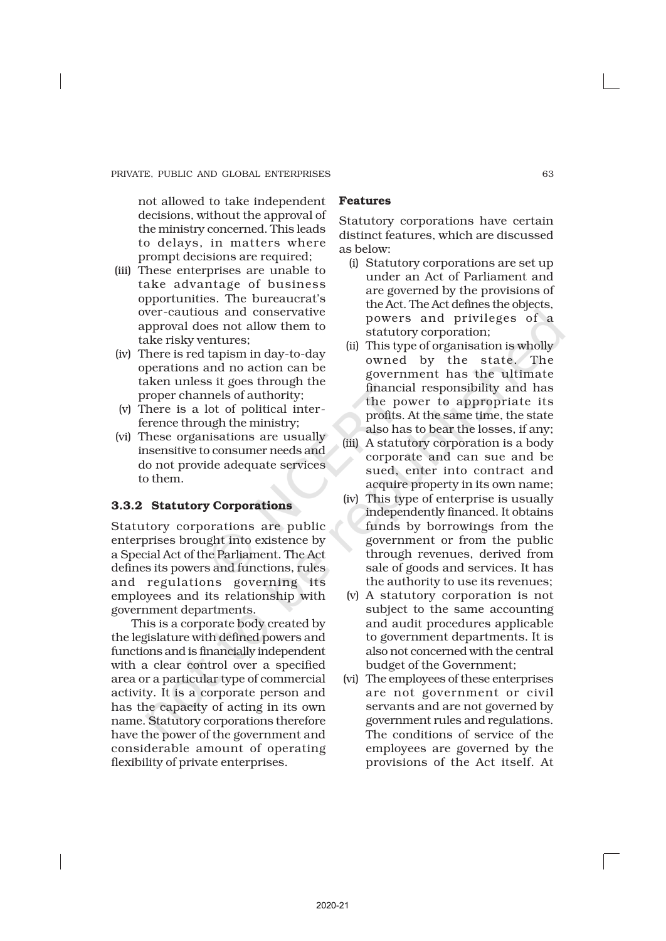not allowed to take independent decisions, without the approval of the ministry concerned. This leads to delays, in matters where prompt decisions are required;

- (iii) These enterprises are unable to take advantage of business opportunities. The bureaucrat's over-cautious and conservative approval does not allow them to take risky ventures;
- (iv) There is red tapism in day-to-day operations and no action can be taken unless it goes through the proper channels of authority;
- (v) There is a lot of political interference through the ministry;
- (vi) These organisations are usually insensitive to consumer needs and do not provide adequate services to them.

#### 3.3.2 Statutory Corporations

Statutory corporations are public enterprises brought into existence by a Special Act of the Parliament. The Act defines its powers and functions, rules and regulations governing its employees and its relationship with government departments.

This is a corporate body created by the legislature with defined powers and functions and is financially independent with a clear control over a specified area or a particular type of commercial activity. It is a corporate person and has the capacity of acting in its own name. Statutory corporations therefore have the power of the government and considerable amount of operating flexibility of private enterprises.

#### Features

Statutory corporations have certain distinct features, which are discussed as below:

- (i) Statutory corporations are set up under an Act of Parliament and are governed by the provisions of the Act. The Act defines the objects, powers and privileges of a statutory corporation;
- (ii) This type of organisation is wholly owned by the state. The government has the ultimate financial responsibility and has the power to appropriate its profits. At the same time, the state also has to bear the losses, if any;
- (iii) A statutory corporation is a body corporate and can sue and be sued, enter into contract and acquire property in its own name;
- (iv) This type of enterprise is usually independently financed. It obtains funds by borrowings from the government or from the public through revenues, derived from sale of goods and services. It has the authority to use its revenues;
- (v) A statutory corporation is not subject to the same accounting and audit procedures applicable to government departments. It is also not concerned with the central budget of the Government;
- (vi) The employees of these enterprises are not government or civil servants and are not governed by government rules and regulations. The conditions of service of the employees are governed by the provisions of the Act itself. At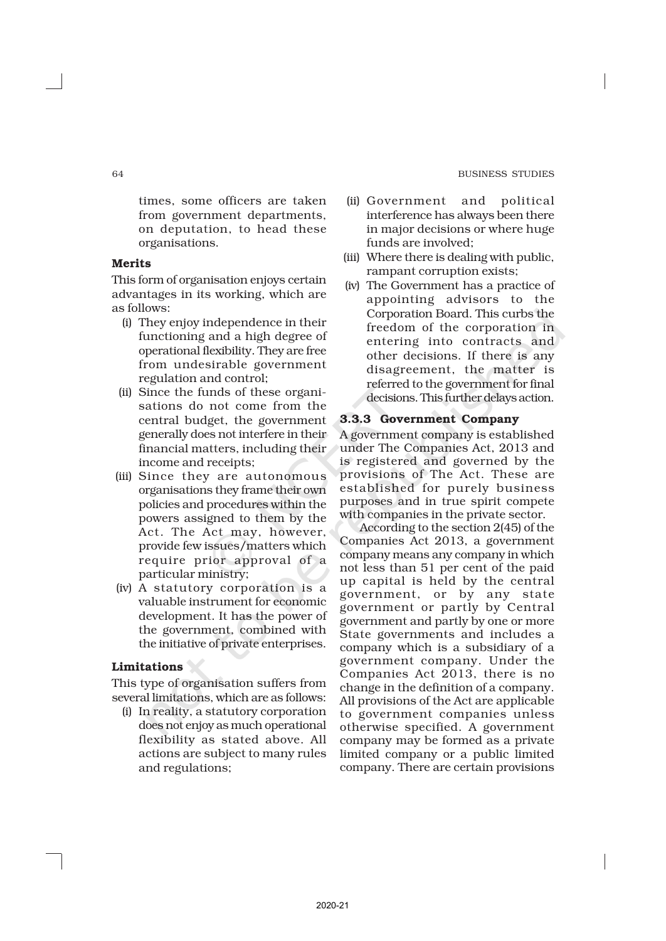times, some officers are taken from government departments, on deputation, to head these organisations.

#### Merits

This form of organisation enjoys certain advantages in its working, which are as follows:

- (i) They enjoy independence in their functioning and a high degree of operational flexibility. They are free from undesirable government regulation and control;
- (ii) Since the funds of these organisations do not come from the central budget, the government generally does not interfere in their financial matters, including their income and receipts;
- (iii) Since they are autonomous organisations they frame their own policies and procedures within the powers assigned to them by the Act. The Act may, however, provide few issues/matters which require prior approval of a particular ministry;
- (iv) A statutory corporation is a valuable instrument for economic development. It has the power of the government, combined with the initiative of private enterprises.

#### Limitations

This type of organisation suffers from several limitations, which are as follows:

(i) In reality, a statutory corporation does not enjoy as much operational flexibility as stated above. All actions are subject to many rules and regulations;

- (ii) Government and political interference has always been there in major decisions or where huge funds are involved;
- (iii) Where there is dealing with public, rampant corruption exists;
- (iv) The Government has a practice of appointing advisors to the Corporation Board. This curbs the freedom of the corporation in entering into contracts and other decisions. If there is any disagreement, the matter is referred to the government for final decisions. This further delays action.

#### 3.3.3 Government Company

A government company is established under The Companies Act, 2013 and is registered and governed by the provisions of The Act. These are established for purely business purposes and in true spirit compete with companies in the private sector.

According to the section 2(45) of the Companies Act 2013, a government company means any company in which not less than 51 per cent of the paid up capital is held by the central government, or by any state government or partly by Central government and partly by one or more State governments and includes a company which is a subsidiary of a government company. Under the Companies Act 2013, there is no change in the definition of a company. All provisions of the Act are applicable to government companies unless otherwise specified. A government company may be formed as a private limited company or a public limited company. There are certain provisions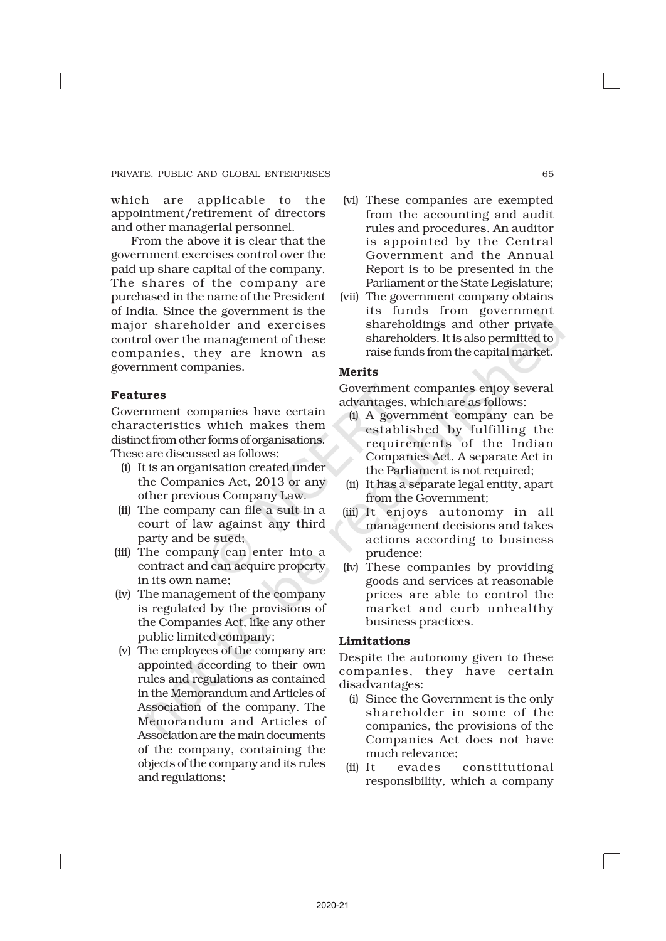which are applicable to the appointment/retirement of directors and other managerial personnel.

From the above it is clear that the government exercises control over the paid up share capital of the company. The shares of the company are purchased in the name of the President of India. Since the government is the major shareholder and exercises control over the management of these companies, they are known as government companies.

#### Features

Government companies have certain characteristics which makes them distinct from other forms of organisations. These are discussed as follows:

- (i) It is an organisation created under the Companies Act, 2013 or any other previous Company Law.
- (ii) The company can file a suit in a court of law against any third party and be sued;
- (iii) The company can enter into a contract and can acquire property in its own name;
- (iv) The management of the company is regulated by the provisions of the Companies Act, like any other public limited company;
- (v) The employees of the company are appointed according to their own rules and regulations as contained in the Memorandum and Articles of Association of the company. The Memorandum and Articles of Association are the main documents of the company, containing the objects of the company and its rules and regulations;
- (vi) These companies are exempted from the accounting and audit rules and procedures. An auditor is appointed by the Central Government and the Annual Report is to be presented in the Parliament or the State Legislature;
- (vii) The government company obtains its funds from government shareholdings and other private shareholders. It is also permitted to raise funds from the capital market.

#### Merits

Government companies enjoy several advantages, which are as follows:

- (i) A government company can be established by fulfilling the requirements of the Indian Companies Act. A separate Act in the Parliament is not required;
- (ii) It has a separate legal entity, apart from the Government;
- (iii) It enjoys autonomy in all management decisions and takes actions according to business prudence;
- (iv) These companies by providing goods and services at reasonable prices are able to control the market and curb unhealthy business practices.

#### Limitations

Despite the autonomy given to these companies, they have certain disadvantages:

- (i) Since the Government is the only shareholder in some of the companies, the provisions of the Companies Act does not have much relevance;
- (ii) It evades constitutional responsibility, which a company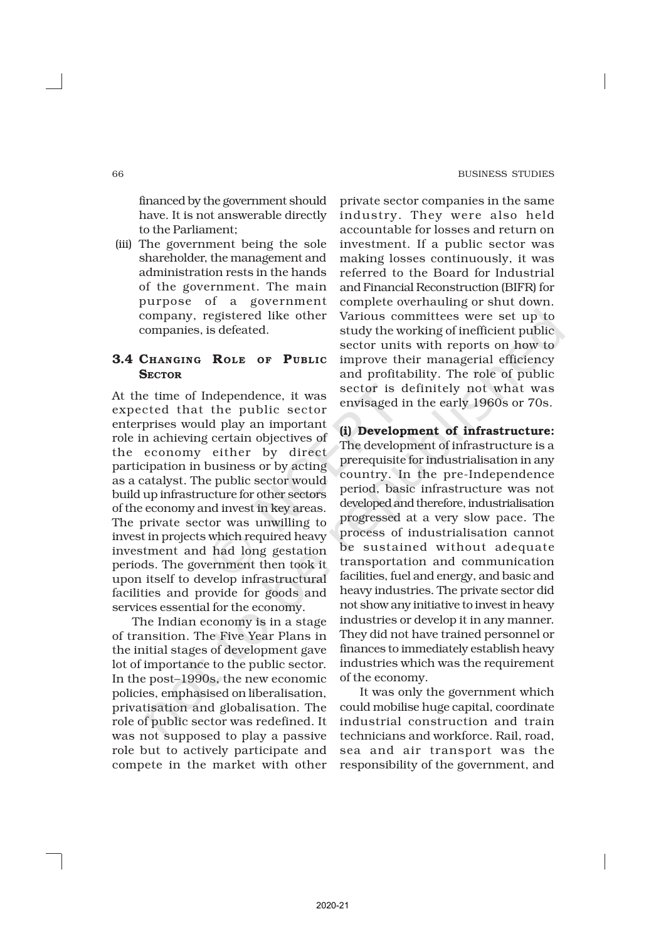financed by the government should have. It is not answerable directly to the Parliament;

(iii) The government being the sole shareholder, the management and administration rests in the hands of the government. The main purpose of a government company, registered like other companies, is defeated.

# 3.4 CHANGING ROLE OF PUBLIC **SECTOR**

At the time of Independence, it was expected that the public sector enterprises would play an important role in achieving certain objectives of the economy either by direct participation in business or by acting as a catalyst. The public sector would build up infrastructure for other sectors of the economy and invest in key areas. The private sector was unwilling to invest in projects which required heavy investment and had long gestation periods. The government then took it upon itself to develop infrastructural facilities and provide for goods and services essential for the economy.

The Indian economy is in a stage of transition. The Five Year Plans in the initial stages of development gave lot of importance to the public sector. In the post–1990s, the new economic policies, emphasised on liberalisation, privatisation and globalisation. The role of public sector was redefined. It was not supposed to play a passive role but to actively participate and compete in the market with other private sector companies in the same industry. They were also held accountable for losses and return on investment. If a public sector was making losses continuously, it was referred to the Board for Industrial and Financial Reconstruction (BIFR) for complete overhauling or shut down. Various committees were set up to study the working of inefficient public sector units with reports on how to improve their managerial efficiency and profitability. The role of public sector is definitely not what was envisaged in the early 1960s or 70s.

(i) Development of infrastructure: The development of infrastructure is a prerequisite for industrialisation in any country. In the pre-Independence period, basic infrastructure was not developed and therefore, industrialisation progressed at a very slow pace. The process of industrialisation cannot be sustained without adequate transportation and communication facilities, fuel and energy, and basic and heavy industries. The private sector did not show any initiative to invest in heavy industries or develop it in any manner. They did not have trained personnel or finances to immediately establish heavy industries which was the requirement of the economy.

It was only the government which could mobilise huge capital, coordinate industrial construction and train technicians and workforce. Rail, road, sea and air transport was the responsibility of the government, and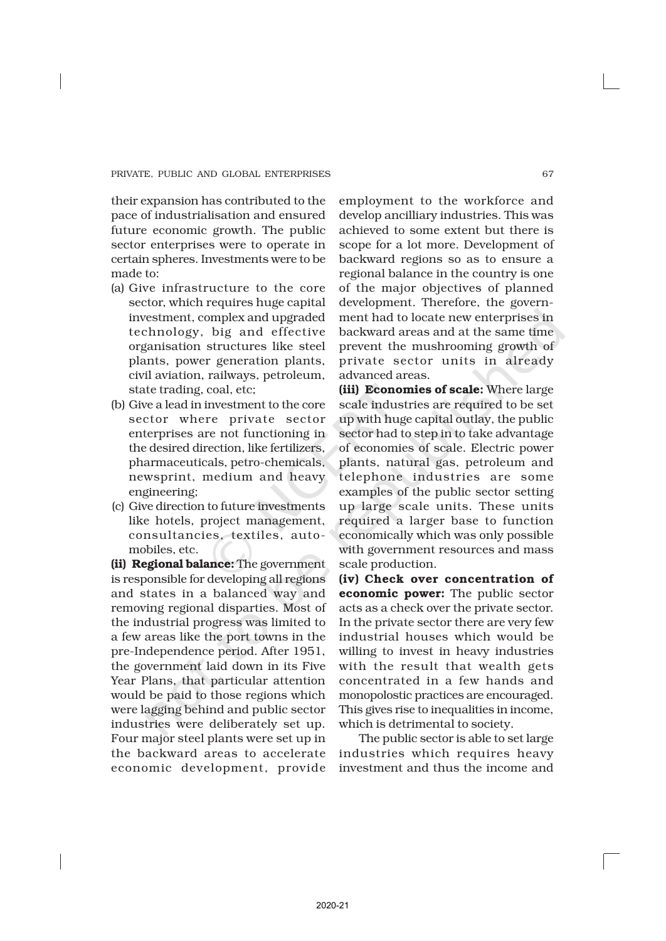their expansion has contributed to the pace of industrialisation and ensured future economic growth. The public sector enterprises were to operate in certain spheres. Investments were to be made to:

- (a) Give infrastructure to the core sector, which requires huge capital investment, complex and upgraded technology, big and effective organisation structures like steel plants, power generation plants, civil aviation, railways, petroleum, state trading, coal, etc;
- (b) Give a lead in investment to the core sector where private sector enterprises are not functioning in the desired direction, like fertilizers, pharmaceuticals, petro-chemicals, newsprint, medium and heavy engineering;
- (c) Give direction to future investments like hotels, project management, consultancies, textiles, automobiles, etc.

(ii) Regional balance: The government is responsible for developing all regions and states in a balanced way and removing regional disparties. Most of the industrial progress was limited to a few areas like the port towns in the pre-Independence period. After 1951, the government laid down in its Five Year Plans, that particular attention would be paid to those regions which were lagging behind and public sector industries were deliberately set up. Four major steel plants were set up in the backward areas to accelerate economic development, provide

employment to the workforce and develop ancilliary industries. This was achieved to some extent but there is scope for a lot more. Development of backward regions so as to ensure a regional balance in the country is one of the major objectives of planned development. Therefore, the government had to locate new enterprises in backward areas and at the same time prevent the mushrooming growth of private sector units in already advanced areas.

(iii) Economies of scale: Where large scale industries are required to be set up with huge capital outlay, the public sector had to step in to take advantage of economies of scale. Electric power plants, natural gas, petroleum and telephone industries are some examples of the public sector setting up large scale units. These units required a larger base to function economically which was only possible with government resources and mass scale production.

(iv) Check over concentration of economic power: The public sector acts as a check over the private sector. In the private sector there are very few industrial houses which would be willing to invest in heavy industries with the result that wealth gets concentrated in a few hands and monopolostic practices are encouraged. This gives rise to inequalities in income, which is detrimental to society.

The public sector is able to set large industries which requires heavy investment and thus the income and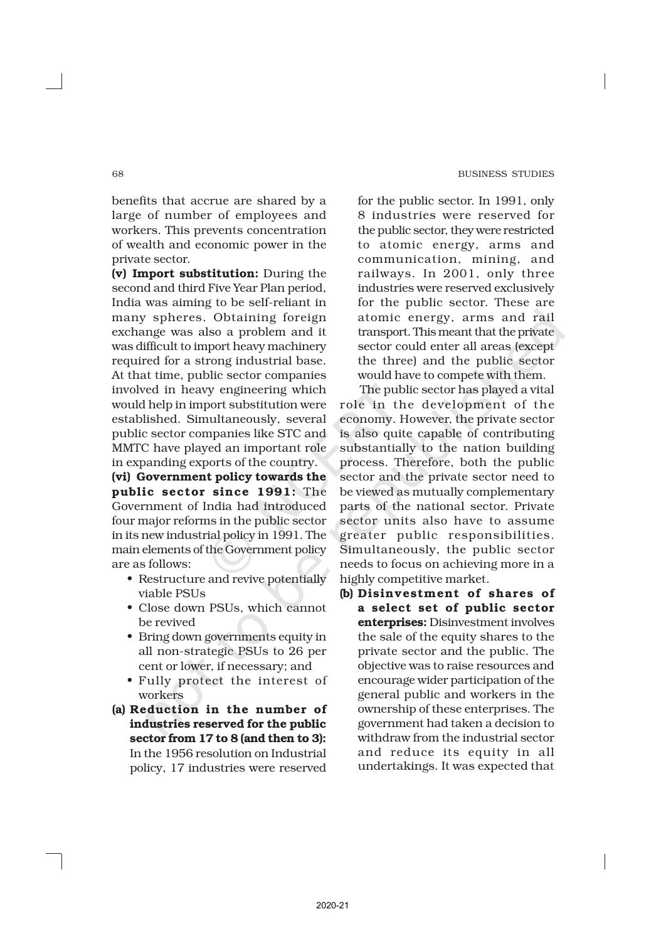benefits that accrue are shared by a large of number of employees and workers. This prevents concentration of wealth and economic power in the private sector.

(v) Import substitution: During the second and third Five Year Plan period, India was aiming to be self-reliant in many spheres. Obtaining foreign exchange was also a problem and it was difficult to import heavy machinery required for a strong industrial base. At that time, public sector companies involved in heavy engineering which would help in import substitution were established. Simultaneously, several public sector companies like STC and MMTC have played an important role in expanding exports of the country.

(vi) Government policy towards the public sector since 1991: The Government of India had introduced four major reforms in the public sector in its new industrial policy in 1991. The main elements of the Government policy are as follows:

- Restructure and revive potentially viable PSUs
- Close down PSUs, which cannot be revived
- Bring down governments equity in all non-strategic PSUs to 26 per cent or lower, if necessary; and
- Fully protect the interest of workers.
- (a) Reduction in the number of industries reserved for the public sector from 17 to 8 (and then to 3): In the 1956 resolution on Industrial policy, 17 industries were reserved

for the public sector. In 1991, only 8 industries were reserved for the public sector, they were restricted to atomic energy, arms and communication, mining, and railways. In 2001, only three industries were reserved exclusively for the public sector. These are atomic energy, arms and rail transport. This meant that the private sector could enter all areas (except the three) and the public sector would have to compete with them.

The public sector has played a vital role in the development of the economy. However, the private sector is also quite capable of contributing substantially to the nation building process. Therefore, both the public sector and the private sector need to be viewed as mutually complementary parts of the national sector. Private sector units also have to assume greater public responsibilities. Simultaneously, the public sector needs to focus on achieving more in a highly competitive market.

(b) Disinvestment of shares of a select set of public sector enterprises: Disinvestment involves the sale of the equity shares to the private sector and the public. The objective was to raise resources and encourage wider participation of the general public and workers in the ownership of these enterprises. The government had taken a decision to withdraw from the industrial sector and reduce its equity in all undertakings. It was expected that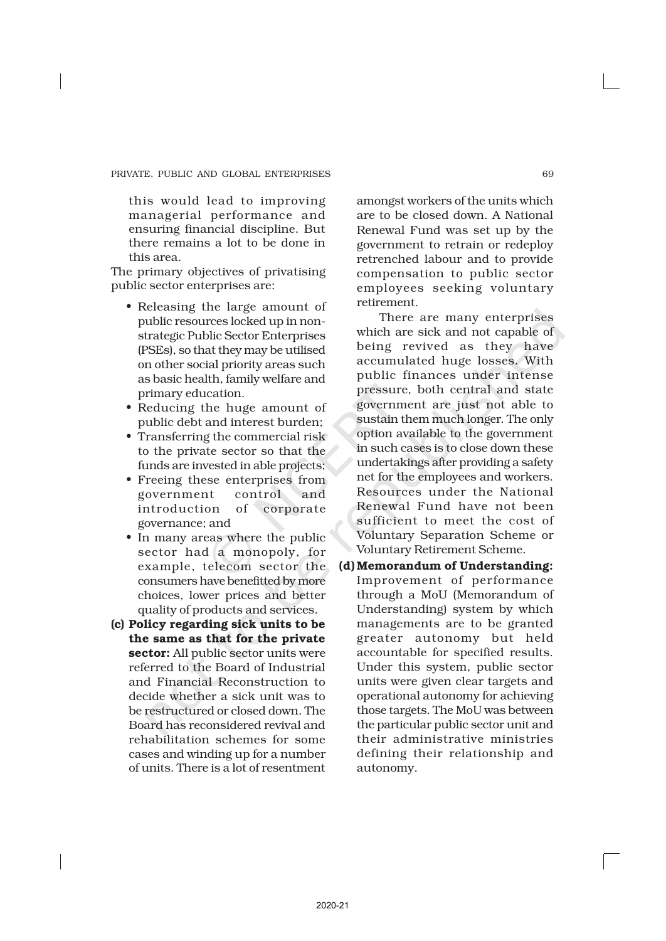this would lead to improving managerial performance and ensuring financial discipline. But there remains a lot to be done in this area.

The primary objectives of privatising public sector enterprises are:

- Releasing the large amount of public resources locked up in nonstrategic Public Sector Enterprises (PSEs), so that they may be utilised on other social priority areas such as basic health, family welfare and primary education.
- Reducing the huge amount of public debt and interest burden;
- Transferring the commercial risk to the private sector so that the funds are invested in able projects;
- Freeing these enterprises from government control and introduction of corporate governance; and
- In many areas where the public sector had a monopoly, for example, telecom sector the consumers have benefitted by more choices, lower prices and better quality of products and services.
- (c) Policy regarding sick units to be the same as that for the private sector: All public sector units were referred to the Board of Industrial and Financial Reconstruction to decide whether a sick unit was to be restructured or closed down. The Board has reconsidered revival and rehabilitation schemes for some cases and winding up for a number of units. There is a lot of resentment

amongst workers of the units which are to be closed down. A National Renewal Fund was set up by the government to retrain or redeploy retrenched labour and to provide compensation to public sector employees seeking voluntary retirement.

There are many enterprises which are sick and not capable of being revived as they have accumulated huge losses. With public finances under intense pressure, both central and state government are just not able to sustain them much longer. The only option available to the government in such cases is to close down these undertakings after providing a safety net for the employees and workers. Resources under the National Renewal Fund have not been sufficient to meet the cost of Voluntary Separation Scheme or Voluntary Retirement Scheme.

(d) Memorandum of Understanding: Improvement of performance through a MoU (Memorandum of Understanding) system by which managements are to be granted greater autonomy but held accountable for specified results. Under this system, public sector units were given clear targets and operational autonomy for achieving those targets. The MoU was between the particular public sector unit and their administrative ministries defining their relationship and autonomy.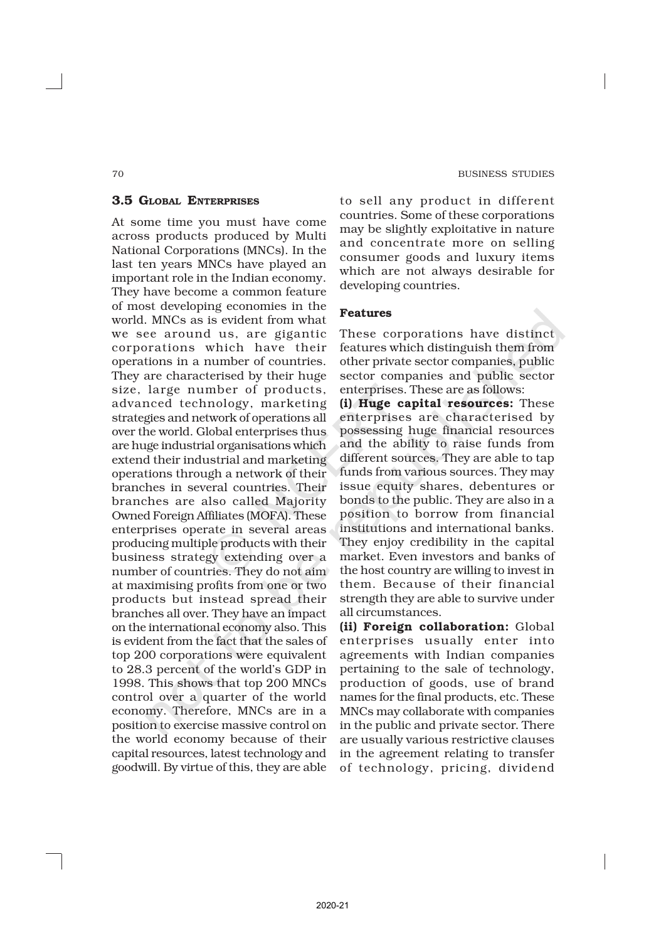#### 3.5 GLOBAL ENTERPRISES

At some time you must have come across products produced by Multi National Corporations (MNCs). In the last ten years MNCs have played an important role in the Indian economy. They have become a common feature of most developing economies in the world. MNCs as is evident from what we see around us, are gigantic corporations which have their operations in a number of countries. They are characterised by their huge size, large number of products, advanced technology, marketing strategies and network of operations all over the world. Global enterprises thus are huge industrial organisations which extend their industrial and marketing operations through a network of their branches in several countries. Their branches are also called Majority Owned Foreign Affiliates (MOFA). These enterprises operate in several areas producing multiple products with their business strategy extending over a number of countries. They do not aim at maximising profits from one or two products but instead spread their branches all over. They have an impact on the international economy also. This is evident from the fact that the sales of top 200 corporations were equivalent to 28.3 percent of the world's GDP in 1998. This shows that top 200 MNCs control over a quarter of the world economy. Therefore, MNCs are in a position to exercise massive control on the world economy because of their capital resources, latest technology and goodwill. By virtue of this, they are able

to sell any product in different countries. Some of these corporations may be slightly exploitative in nature and concentrate more on selling consumer goods and luxury items which are not always desirable for developing countries.

#### Features

These corporations have distinct features which distinguish them from other private sector companies, public sector companies and public sector enterprises. These are as follows:

(i) Huge capital resources: These enterprises are characterised by possessing huge financial resources and the ability to raise funds from different sources. They are able to tap funds from various sources. They may issue equity shares, debentures or bonds to the public. They are also in a position to borrow from financial institutions and international banks. They enjoy credibility in the capital market. Even investors and banks of the host country are willing to invest in them. Because of their financial strength they are able to survive under all circumstances.

(ii) Foreign collaboration: Global enterprises usually enter into agreements with Indian companies pertaining to the sale of technology, production of goods, use of brand names for the final products, etc. These MNCs may collaborate with companies in the public and private sector. There are usually various restrictive clauses in the agreement relating to transfer of technology, pricing, dividend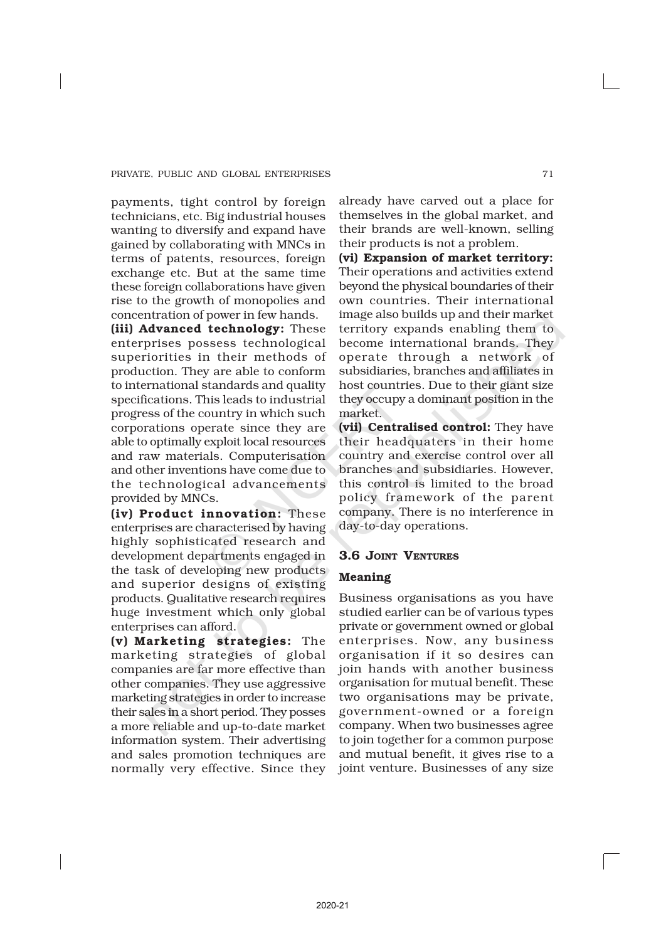payments, tight control by foreign technicians, etc. Big industrial houses wanting to diversify and expand have gained by collaborating with MNCs in terms of patents, resources, foreign exchange etc. But at the same time these foreign collaborations have given rise to the growth of monopolies and concentration of power in few hands.

(iii) Advanced technology: These enterprises possess technological superiorities in their methods of production. They are able to conform to international standards and quality specifications. This leads to industrial progress of the country in which such corporations operate since they are able to optimally exploit local resources and raw materials. Computerisation and other inventions have come due to the technological advancements provided by MNCs.

(iv) Product innovation: These enterprises are characterised by having highly sophisticated research and development departments engaged in the task of developing new products and superior designs of existing products. Qualitative research requires huge investment which only global enterprises can afford.

(v) Marketing strategies: The marketing strategies of global companies are far more effective than other companies. They use aggressive marketing strategies in order to increase their sales in a short period. They posses a more reliable and up-to-date market information system. Their advertising and sales promotion techniques are normally very effective. Since they already have carved out a place for themselves in the global market, and their brands are well-known, selling their products is not a problem.

(vi) Expansion of market territory: Their operations and activities extend beyond the physical boundaries of their own countries. Their international image also builds up and their market territory expands enabling them to become international brands. They operate through a network of subsidiaries, branches and affiliates in host countries. Due to their giant size they occupy a dominant position in the market.

(vii) Centralised control: They have their headquaters in their home country and exercise control over all branches and subsidiaries. However, this control is limited to the broad policy framework of the parent company. There is no interference in day-to-day operations.

## 3.6 JOINT VENTURES

#### Meaning

Business organisations as you have studied earlier can be of various types private or government owned or global enterprises. Now, any business organisation if it so desires can join hands with another business organisation for mutual benefit. These two organisations may be private, government-owned or a foreign company. When two businesses agree to join together for a common purpose and mutual benefit, it gives rise to a joint venture. Businesses of any size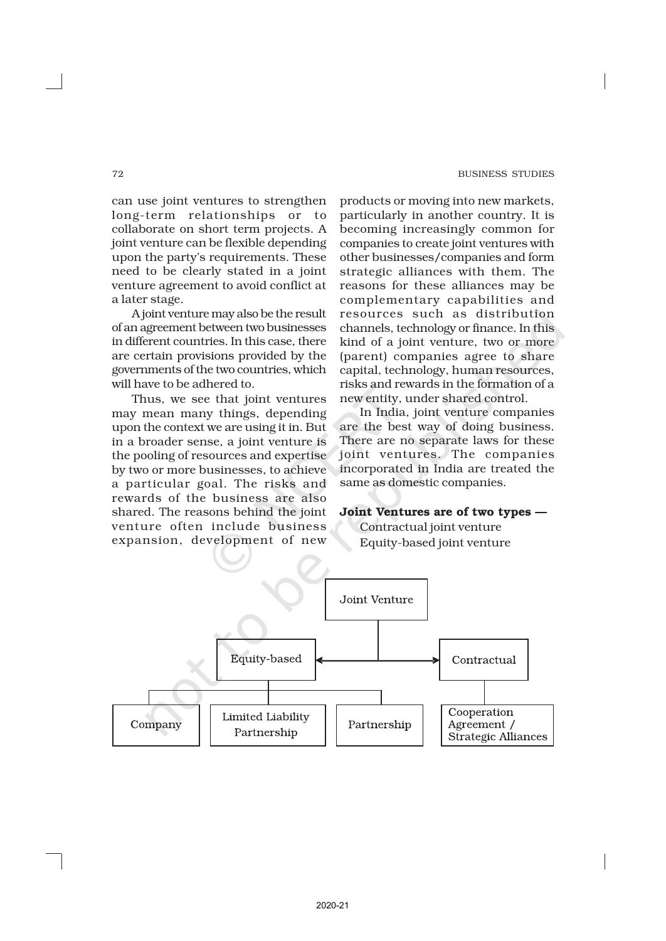#### 72 BUSINESS STUDIES

can use joint ventures to strengthen long-term relationships or to collaborate on short term projects. A joint venture can be flexible depending upon the party's requirements. These need to be clearly stated in a joint venture agreement to avoid conflict at a later stage.

A joint venture may also be the result of an agreement between two businesses in different countries. In this case, there are certain provisions provided by the governments of the two countries, which will have to be adhered to.

Thus, we see that joint ventures may mean many things, depending upon the context we are using it in. But in a broader sense, a joint venture is the pooling of resources and expertise by two or more businesses, to achieve a particular goal. The risks and rewards of the business are also shared. The reasons behind the joint venture often include business expansion, development of new

products or moving into new markets, particularly in another country. It is becoming increasingly common for companies to create joint ventures with other businesses/companies and form strategic alliances with them. The reasons for these alliances may be complementary capabilities and resources such as distribution channels, technology or finance. In this kind of a joint venture, two or more (parent) companies agree to share capital, technology, human resources, risks and rewards in the formation of a new entity, under shared control.

In India, joint venture companies are the best way of doing business. There are no separate laws for these joint ventures. The companies incorporated in India are treated the same as domestic companies.

#### Joint Ventures are of two types —

Contractual joint venture Equity-based joint venture

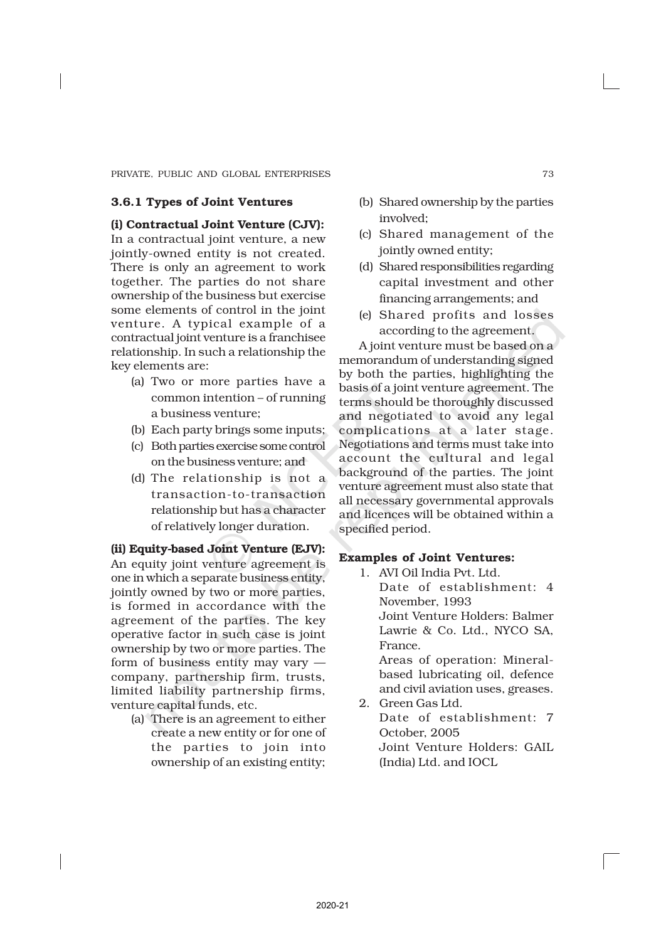#### 3.6.1 Types of Joint Ventures

(i) Contractual Joint Venture (CJV): In a contractual joint venture, a new jointly-owned entity is not created. There is only an agreement to work together. The parties do not share ownership of the business but exercise some elements of control in the joint venture. A typical example of a contractual joint venture is a franchisee relationship. In such a relationship the key elements are:

- (a) Two or more parties have a common intention – of running a business venture;
- (b) Each party brings some inputs;
- (c) Both parties exercise some control on the business venture; and
- (d) The relationship is not a transaction-to-transaction relationship but has a character of relatively longer duration.

(ii) Equity-based Joint Venture (EJV): An equity joint venture agreement is one in which a separate business entity, jointly owned by two or more parties, is formed in accordance with the agreement of the parties. The key operative factor in such case is joint ownership by two or more parties. The form of business entity may vary company, partnership firm, trusts, limited liability partnership firms, venture capital funds, etc.

(a) There is an agreement to either create a new entity or for one of the parties to join into ownership of an existing entity;

- (b) Shared ownership by the parties involved;
- (c) Shared management of the jointly owned entity;
- (d) Shared responsibilities regarding capital investment and other financing arrangements; and
- (e) Shared profits and losses according to the agreement.

A joint venture must be based on a memorandum of understanding signed by both the parties, highlighting the basis of a joint venture agreement. The terms should be thoroughly discussed and negotiated to avoid any legal complications at a later stage. Negotiations and terms must take into account the cultural and legal background of the parties. The joint venture agreement must also state that all necessary governmental approvals and licences will be obtained within a specified period.

#### Examples of Joint Ventures:

1. AVI Oil India Pvt. Ltd. Date of establishment: 4 November, 1993 Joint Venture Holders: Balmer

Lawrie & Co. Ltd., NYCO SA, France. Areas of operation: Mineral-

based lubricating oil, defence and civil aviation uses, greases. 2. Green Gas Ltd.

Date of establishment: 7 October, 2005 Joint Venture Holders: GAIL (India) Ltd. and IOCL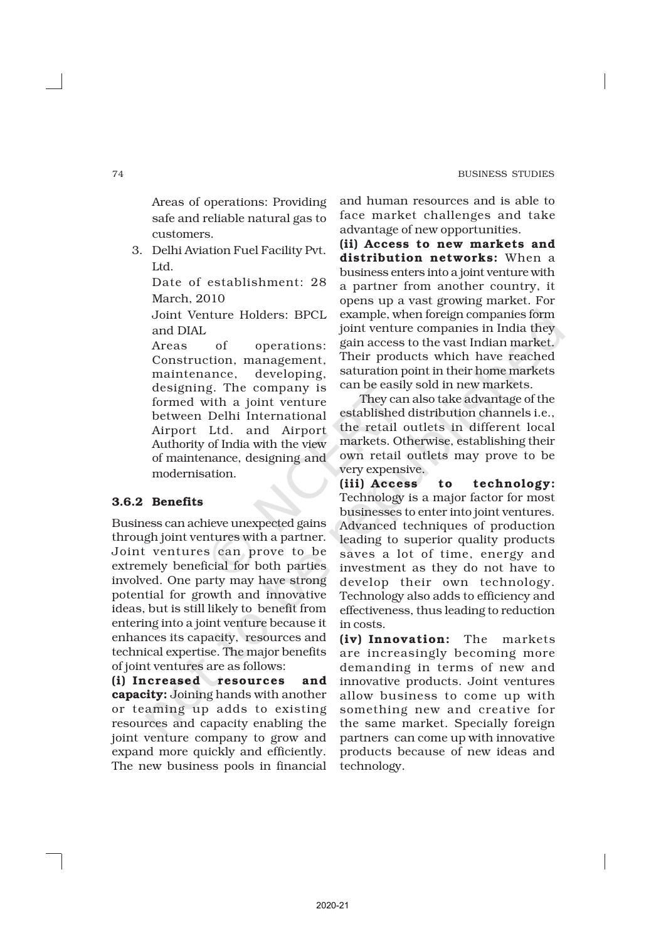Areas of operations: Providing safe and reliable natural gas to customers.

3. Delhi Aviation Fuel Facility Pvt. Ltd.

Date of establishment: 28 March, 2010

Joint Venture Holders: BPCL and DIAL

Areas of operations: Construction, management, maintenance, developing, designing. The company is formed with a joint venture between Delhi International Airport Ltd. and Airport Authority of India with the view of maintenance, designing and modernisation.

#### 3.6.2 Benefits

Business can achieve unexpected gains through joint ventures with a partner. Joint ventures can prove to be extremely beneficial for both parties involved. One party may have strong potential for growth and innovative ideas, but is still likely to benefit from entering into a joint venture because it enhances its capacity, resources and technical expertise. The major benefits of joint ventures are as follows:

(i) Increased resources and capacity: Joining hands with another or teaming up adds to existing resources and capacity enabling the joint venture company to grow and expand more quickly and efficiently. The new business pools in financial and human resources and is able to face market challenges and take advantage of new opportunities.

(ii) Access to new markets and distribution networks: When a business enters into a joint venture with a partner from another country, it opens up a vast growing market. For example, when foreign companies form joint venture companies in India they gain access to the vast Indian market. Their products which have reached saturation point in their home markets can be easily sold in new markets.

They can also take advantage of the established distribution channels i.e., the retail outlets in different local markets. Otherwise, establishing their own retail outlets may prove to be very expensive.

(iii) Access to technology: Technology is a major factor for most businesses to enter into joint ventures. Advanced techniques of production leading to superior quality products saves a lot of time, energy and investment as they do not have to develop their own technology. Technology also adds to efficiency and effectiveness, thus leading to reduction in costs.

(iv) Innovation: The markets are increasingly becoming more demanding in terms of new and innovative products. Joint ventures allow business to come up with something new and creative for the same market. Specially foreign partners can come up with innovative products because of new ideas and technology.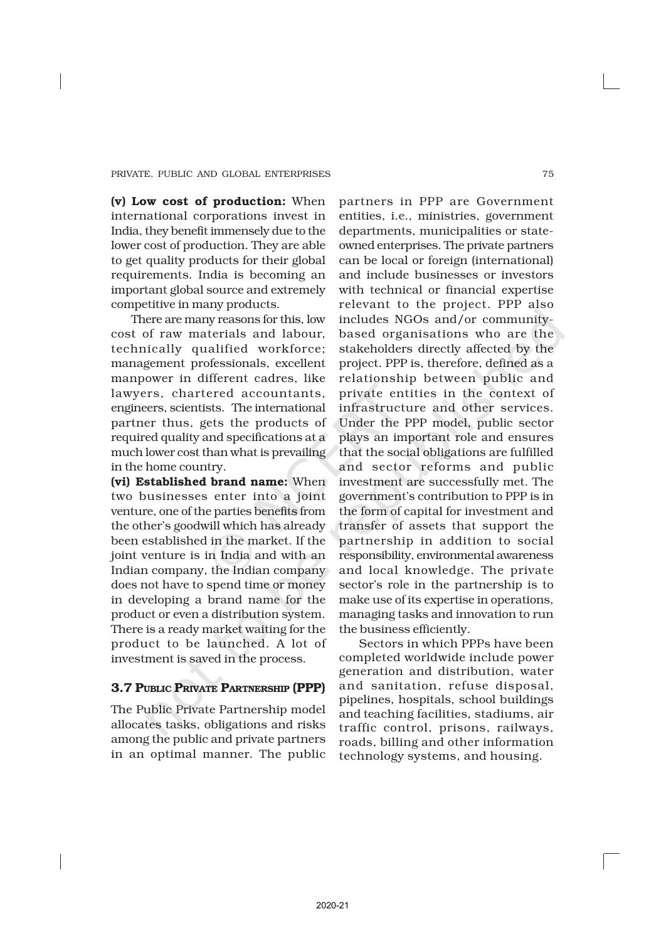(v) Low cost of production: When international corporations invest in India, they benefit immensely due to the lower cost of production. They are able to get quality products for their global requirements. India is becoming an important global source and extremely competitive in many products.

There are many reasons for this, low cost of raw materials and labour, technically qualified workforce; management professionals, excellent manpower in different cadres, like lawyers, chartered accountants, engineers, scientists. The international partner thus, gets the products of required quality and specifications at a much lower cost than what is prevailing in the home country.

(vi) Established brand name: When two businesses enter into a joint venture, one of the parties benefits from the other's goodwill which has already been established in the market. If the joint venture is in India and with an Indian company, the Indian company does not have to spend time or money in developing a brand name for the product or even a distribution system. There is a ready market waiting for the product to be launched. A lot of investment is saved in the process.

#### 3.7 PUBLIC PRIVATE PARTNERSHIP (PPP)

The Public Private Partnership model allocates tasks, obligations and risks among the public and private partners in an optimal manner. The public

partners in PPP are Government entities, i.e., ministries, government departments, municipalities or stateowned enterprises. The private partners can be local or foreign (international) and include businesses or investors with technical or financial expertise relevant to the project. PPP also includes NGOs and/or communitybased organisations who are the stakeholders directly affected by the project. PPP is, therefore, defined as a relationship between public and private entities in the context of infrastructure and other services. Under the PPP model, public sector plays an important role and ensures that the social obligations are fulfilled and sector reforms and public investment are successfully met. The government's contribution to PPP is in the form of capital for investment and transfer of assets that support the partnership in addition to social responsibility, environmental awareness and local knowledge. The private sector's role in the partnership is to make use of its expertise in operations, managing tasks and innovation to run the business efficiently.

Sectors in which PPPs have been completed worldwide include power generation and distribution, water and sanitation, refuse disposal, pipelines, hospitals, school buildings and teaching facilities, stadiums, air traffic control, prisons, railways, roads, billing and other information technology systems, and housing.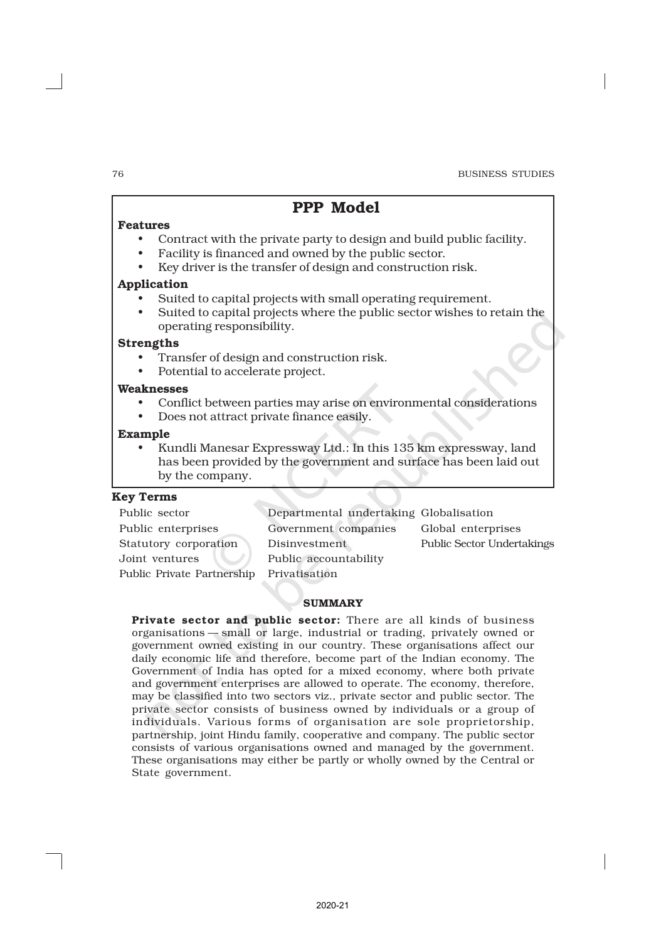# PPP Model

#### Features

- Contract with the private party to design and build public facility.
- Facility is financed and owned by the public sector.
- Key driver is the transfer of design and construction risk.

#### Application

- Suited to capital projects with small operating requirement.
- Suited to capital projects where the public sector wishes to retain the operating responsibility.

#### Strengths

- Transfer of design and construction risk.
- Potential to accelerate project.

#### Weaknesses

- Conflict between parties may arise on environmental considerations
- Does not attract private finance easily.

## Example

• Kundli Manesar Expressway Ltd.: In this 135 km expressway, land has been provided by the government and surface has been laid out by the company.

#### Key Terms

Public sector Departmental undertaking Globalisation Public enterprises Government companies Global enterprises Joint ventures Public accountability Public Private Partnership Privatisation

Statutory corporation Disinvestment Public Sector Undertakings

#### **SUMMARY**

Private sector and public sector: There are all kinds of business organisations — small or large, industrial or trading, privately owned or government owned existing in our country. These organisations affect our daily economic life and therefore, become part of the Indian economy. The Government of India has opted for a mixed economy, where both private and government enterprises are allowed to operate. The economy, therefore, may be classified into two sectors viz., private sector and public sector. The private sector consists of business owned by individuals or a group of individuals. Various forms of organisation are sole proprietorship, partnership, joint Hindu family, cooperative and company. The public sector consists of various organisations owned and managed by the government. These organisations may either be partly or wholly owned by the Central or State government.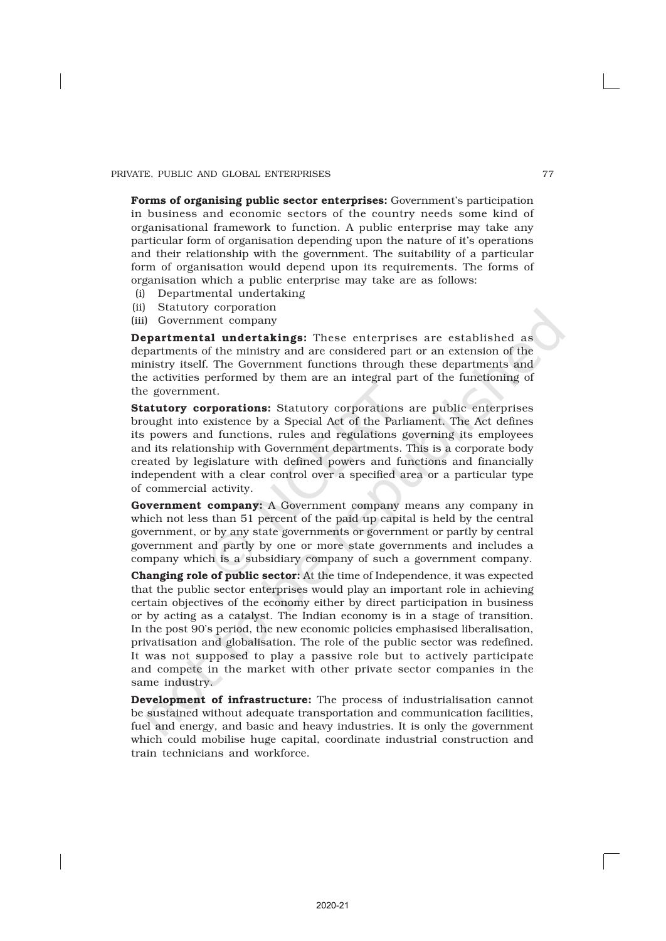Forms of organising public sector enterprises: Government's participation in business and economic sectors of the country needs some kind of organisational framework to function. A public enterprise may take any particular form of organisation depending upon the nature of it's operations and their relationship with the government. The suitability of a particular form of organisation would depend upon its requirements. The forms of organisation which a public enterprise may take are as follows:

- (i) Departmental undertaking
- (ii) Statutory corporation
- (iii) Government company

Departmental undertakings: These enterprises are established as departments of the ministry and are considered part or an extension of the ministry itself. The Government functions through these departments and the activities performed by them are an integral part of the functioning of the government.

Statutory corporations: Statutory corporations are public enterprises brought into existence by a Special Act of the Parliament. The Act defines its powers and functions, rules and regulations governing its employees and its relationship with Government departments. This is a corporate body created by legislature with defined powers and functions and financially independent with a clear control over a specified area or a particular type of commercial activity.

Government company: A Government company means any company in which not less than 51 percent of the paid up capital is held by the central government, or by any state governments or government or partly by central government and partly by one or more state governments and includes a company which is a subsidiary company of such a government company.

Changing role of public sector: At the time of Independence, it was expected that the public sector enterprises would play an important role in achieving certain objectives of the economy either by direct participation in business or by acting as a catalyst. The Indian economy is in a stage of transition. In the post 90's period, the new economic policies emphasised liberalisation, privatisation and globalisation. The role of the public sector was redefined. It was not supposed to play a passive role but to actively participate and compete in the market with other private sector companies in the same industry.

Development of infrastructure: The process of industrialisation cannot be sustained without adequate transportation and communication facilities, fuel and energy, and basic and heavy industries. It is only the government which could mobilise huge capital, coordinate industrial construction and train technicians and workforce.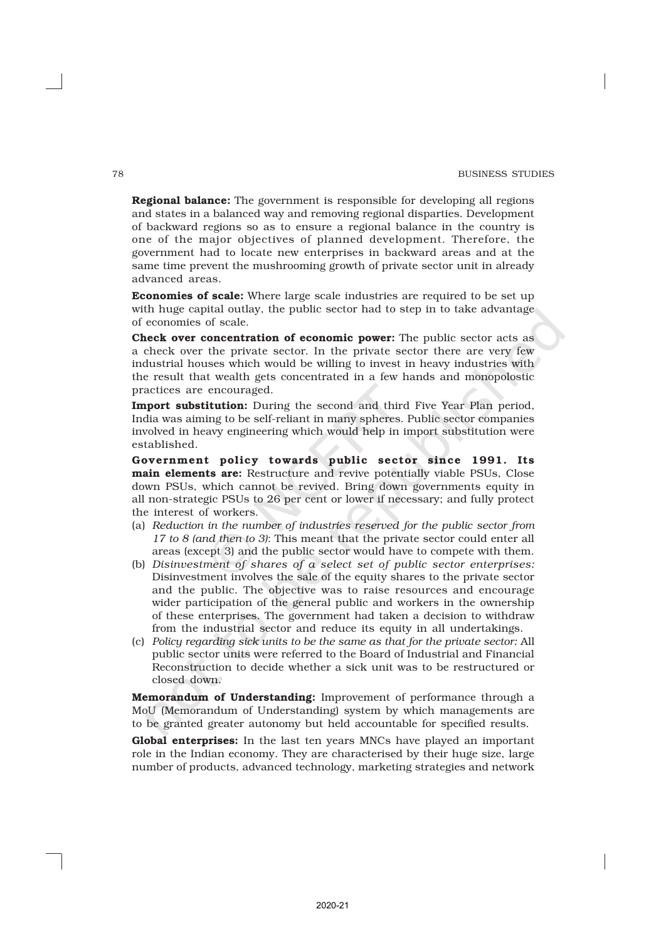Regional balance: The government is responsible for developing all regions and states in a balanced way and removing regional disparties. Development of backward regions so as to ensure a regional balance in the country is one of the major objectives of planned development. Therefore, the government had to locate new enterprises in backward areas and at the same time prevent the mushrooming growth of private sector unit in already advanced areas.

Economies of scale: Where large scale industries are required to be set up with huge capital outlay, the public sector had to step in to take advantage of economies of scale.

Check over concentration of economic power: The public sector acts as a check over the private sector. In the private sector there are very few industrial houses which would be willing to invest in heavy industries with the result that wealth gets concentrated in a few hands and monopolostic practices are encouraged.

Import substitution: During the second and third Five Year Plan period, India was aiming to be self-reliant in many spheres. Public sector companies involved in heavy engineering which would help in import substitution were established.

Government policy towards public sector since 1991. Its main elements are: Restructure and revive potentially viable PSUs, Close down PSUs, which cannot be revived. Bring down governments equity in all non-strategic PSUs to 26 per cent or lower if necessary; and fully protect the interest of workers.

- (a) *Reduction in the number of industries reserved for the public sector from 17 to 8 (and then to 3)*: This meant that the private sector could enter all areas (except 3) and the public sector would have to compete with them.
- (b) *Disinvestment of shares of a select set of public sector enterprises:* Disinvestment involves the sale of the equity shares to the private sector and the public. The objective was to raise resources and encourage wider participation of the general public and workers in the ownership of these enterprises. The government had taken a decision to withdraw from the industrial sector and reduce its equity in all undertakings.
- (c) *Policy regarding sick units to be the same as that for the private sector:* All public sector units were referred to the Board of Industrial and Financial Reconstruction to decide whether a sick unit was to be restructured or closed down.

Memorandum of Understanding: Improvement of performance through a MoU (Memorandum of Understanding) system by which managements are to be granted greater autonomy but held accountable for specified results.

Global enterprises: In the last ten years MNCs have played an important role in the Indian economy. They are characterised by their huge size, large number of products, advanced technology, marketing strategies and network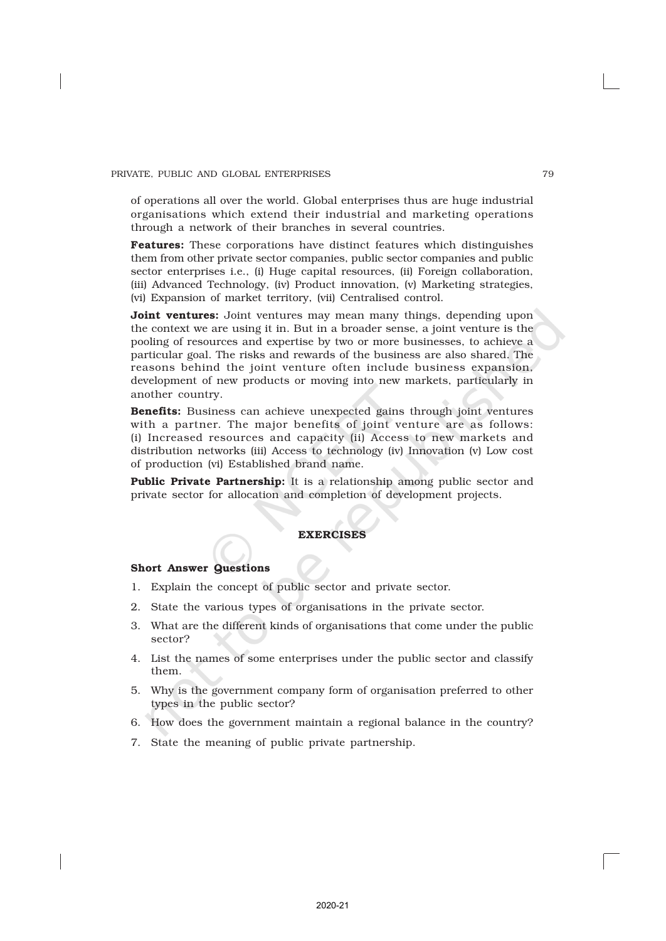of operations all over the world. Global enterprises thus are huge industrial organisations which extend their industrial and marketing operations through a network of their branches in several countries.

Features: These corporations have distinct features which distinguishes them from other private sector companies, public sector companies and public sector enterprises i.e., (i) Huge capital resources, (ii) Foreign collaboration, (iii) Advanced Technology, (iv) Product innovation, (v) Marketing strategies, (vi) Expansion of market territory, (vii) Centralised control.

**Joint ventures:** Joint ventures may mean many things, depending upon the context we are using it in. But in a broader sense, a joint venture is the pooling of resources and expertise by two or more businesses, to achieve a particular goal. The risks and rewards of the business are also shared. The reasons behind the joint venture often include business expansion, development of new products or moving into new markets, particularly in another country.

Benefits: Business can achieve unexpected gains through joint ventures with a partner. The major benefits of joint venture are as follows: (i) Increased resources and capacity (ii) Access to new markets and distribution networks (iii) Access to technology (iv) Innovation (v) Low cost of production (vi) Established brand name.

Public Private Partnership: It is a relationship among public sector and private sector for allocation and completion of development projects.

## **EXERCISES**

#### Short Answer Questions

- 1. Explain the concept of public sector and private sector.
- 2. State the various types of organisations in the private sector.
- 3. What are the different kinds of organisations that come under the public sector?
- 4. List the names of some enterprises under the public sector and classify them.
- 5. Why is the government company form of organisation preferred to other types in the public sector?
- 6. How does the government maintain a regional balance in the country?
- 7. State the meaning of public private partnership.